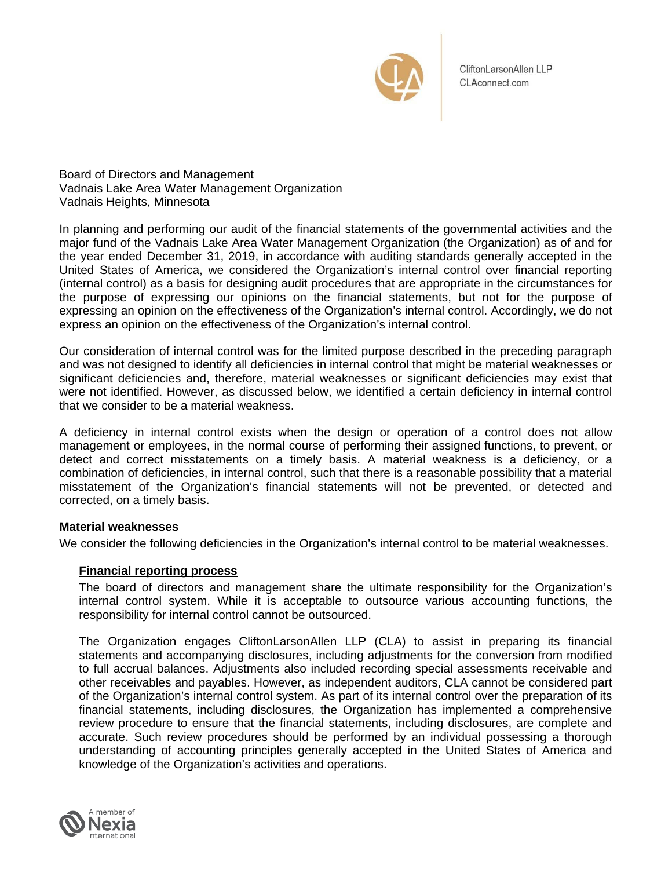

CliftonLarsonAllen LLP CLAconnect.com

Board of Directors and Management Vadnais Lake Area Water Management Organization Vadnais Heights, Minnesota

In planning and performing our audit of the financial statements of the governmental activities and the major fund of the Vadnais Lake Area Water Management Organization (the Organization) as of and for the year ended December 31, 2019, in accordance with auditing standards generally accepted in the United States of America, we considered the Organization's internal control over financial reporting (internal control) as a basis for designing audit procedures that are appropriate in the circumstances for the purpose of expressing our opinions on the financial statements, but not for the purpose of expressing an opinion on the effectiveness of the Organization's internal control. Accordingly, we do not express an opinion on the effectiveness of the Organization's internal control.

Our consideration of internal control was for the limited purpose described in the preceding paragraph and was not designed to identify all deficiencies in internal control that might be material weaknesses or significant deficiencies and, therefore, material weaknesses or significant deficiencies may exist that were not identified. However, as discussed below, we identified a certain deficiency in internal control that we consider to be a material weakness.

A deficiency in internal control exists when the design or operation of a control does not allow management or employees, in the normal course of performing their assigned functions, to prevent, or detect and correct misstatements on a timely basis. A material weakness is a deficiency, or a combination of deficiencies, in internal control, such that there is a reasonable possibility that a material misstatement of the Organization's financial statements will not be prevented, or detected and corrected, on a timely basis.

## **Material weaknesses**

We consider the following deficiencies in the Organization's internal control to be material weaknesses.

# **Financial reporting process**

The board of directors and management share the ultimate responsibility for the Organization's internal control system. While it is acceptable to outsource various accounting functions, the responsibility for internal control cannot be outsourced.

The Organization engages CliftonLarsonAllen LLP (CLA) to assist in preparing its financial statements and accompanying disclosures, including adjustments for the conversion from modified to full accrual balances. Adjustments also included recording special assessments receivable and other receivables and payables. However, as independent auditors, CLA cannot be considered part of the Organization's internal control system. As part of its internal control over the preparation of its financial statements, including disclosures, the Organization has implemented a comprehensive review procedure to ensure that the financial statements, including disclosures, are complete and accurate. Such review procedures should be performed by an individual possessing a thorough understanding of accounting principles generally accepted in the United States of America and knowledge of the Organization's activities and operations.